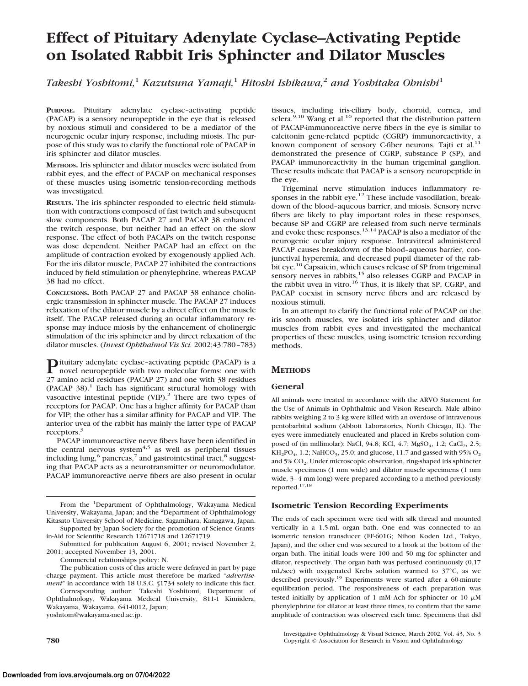# **Effect of Pituitary Adenylate Cyclase–Activating Peptide on Isolated Rabbit Iris Sphincter and Dilator Muscles**

*Takeshi Yoshitomi,*<sup>1</sup> *Kazutsuna Yamaji,*<sup>1</sup> *Hitoshi Ishikawa,*<sup>2</sup> *and Yoshitaka Ohnishi*<sup>1</sup>

**PURPOSE.** Pituitary adenylate cyclase–activating peptide (PACAP) is a sensory neuropeptide in the eye that is released by noxious stimuli and considered to be a mediator of the neurogenic ocular injury response, including miosis. The purpose of this study was to clarify the functional role of PACAP in iris sphincter and dilator muscles.

**METHODS.** Iris sphincter and dilator muscles were isolated from rabbit eyes, and the effect of PACAP on mechanical responses of these muscles using isometric tension-recording methods was investigated.

**RESULTS.** The iris sphincter responded to electric field stimulation with contractions composed of fast twitch and subsequent slow components. Both PACAP 27 and PACAP 38 enhanced the twitch response, but neither had an effect on the slow response. The effect of both PACAPs on the twitch response was dose dependent. Neither PACAP had an effect on the amplitude of contraction evoked by exogenously applied Ach. For the iris dilator muscle, PACAP 27 inhibited the contractions induced by field stimulation or phenylephrine, whereas PACAP 38 had no effect.

**CONCLUSIONS.** Both PACAP 27 and PACAP 38 enhance cholinergic transmission in sphincter muscle. The PACAP 27 induces relaxation of the dilator muscle by a direct effect on the muscle itself. The PACAP released during an ocular inflammatory response may induce miosis by the enhancement of cholinergic stimulation of the iris sphincter and by direct relaxation of the dilator muscles. (*Invest Ophthalmol Vis Sci.* 2002;43:780–783)

Pituitary adenylate cyclase–activating peptide (PACAP) is a novel neuropeptide with two molecular forms: one with 27 amino acid residues (PACAP 27) and one with 38 residues (PACAP  $38$ ).<sup>1</sup> Each has significant structural homology with vasoactive intestinal peptide (VIP).<sup>2</sup> There are two types of receptors for PACAP. One has a higher affinity for PACAP than for VIP; the other has a similar affinity for PACAP and VIP. The anterior uvea of the rabbit has mainly the latter type of PACAP receptors.<sup>3</sup>

PACAP immunoreactive nerve fibers have been identified in the central nervous system $4.5$  as well as peripheral tissues including lung, $6$  pancreas, $7$  and gastrointestinal tract, $8$  suggesting that PACAP acts as a neurotransmitter or neuromodulator. PACAP immunoreactive nerve fibers are also present in ocular

From the <sup>1</sup>Department of Ophthalmology, Wakayama Medical University, Wakayama, Japan; and the <sup>2</sup>Department of Ophthalmology Kitasato University School of Medicine, Sagamihara, Kanagawa, Japan. Supported by Japan Society for the promotion of Science Grants-

Commercial relationships policy: N.

The publication costs of this article were defrayed in part by page charge payment. This article must therefore be marked "*advertisement*" in accordance with 18 U.S.C. §1734 solely to indicate this fact.

Corresponding author: Takeshi Yoshitomi, Department of Ophthalmology, Wakayama Medical University, 811-1 Kimiidera, Wakayama, Wakayama, 641-0012, Japan; yoshitom@wakayama-med.ac.jp.

tissues, including iris-ciliary body, choroid, cornea, and sclera.<sup>9,10</sup> Wang et al.<sup>10</sup> reported that the distribution pattern of PACAP-immunoreactive nerve fibers in the eye is similar to calcitonin gene-related peptide (CGRP) immunoreactivity, a known component of sensory C-fiber neurons. Tajti et al.<sup>11</sup> demonstrated the presence of CGRP, substance P (SP), and PACAP immunoreactivity in the human trigeminal ganglion. These results indicate that PACAP is a sensory neuropeptide in the eye.

Trigeminal nerve stimulation induces inflammatory responses in the rabbit eye.<sup>12</sup> These include vasodilation, breakdown of the blood–aqueous barrier, and miosis. Sensory nerve fibers are likely to play important roles in these responses, because SP and CGRP are released from such nerve terminals and evoke these responses.<sup>13,14</sup> PACAP is also a mediator of the neurogenic ocular injury response. Intravitreal administered PACAP causes breakdown of the blood–aqueous barrier, conjunctival hyperemia, and decreased pupil diameter of the rabbit eye.<sup>10</sup> Capsaicin, which causes release of SP from trigeminal sensory nerves in rabbits,<sup>15</sup> also releases CGRP and PACAP in the rabbit uvea in vitro.<sup>16</sup> Thus, it is likely that SP, CGRP, and PACAP coexist in sensory nerve fibers and are released by noxious stimuli.

In an attempt to clarify the functional role of PACAP on the iris smooth muscles, we isolated iris sphincter and dilator muscles from rabbit eyes and investigated the mechanical properties of these muscles, using isometric tension recording methods.

# **METHODS**

## **General**

All animals were treated in accordance with the ARVO Statement for the Use of Animals in Ophthalmic and Vision Research. Male albino rabbits weighing 2 to 3 kg were killed with an overdose of intravenous pentobarbital sodium (Abbott Laboratories, North Chicago, IL). The eyes were immediately enucleated and placed in Krebs solution composed of (in millimolar): NaCl, 94.8; KCl, 4.7;  $MgSO_4$ , 1.2; CaCl<sub>2</sub>, 2.5;  $KH<sub>2</sub>PO<sub>4</sub>$ , 1.2; NaHCO<sub>3</sub>, 25.0; and glucose, 11.7 and gassed with 95% O<sub>2</sub> and 5% CO<sub>2</sub>. Under microscopic observation, ring-shaped iris sphincter muscle specimens (1 mm wide) and dilator muscle specimens (1 mm wide, 3–4 mm long) were prepared according to a method previously reported.17,18

## **Isometric Tension Recording Experiments**

The ends of each specimen were tied with silk thread and mounted vertically in a 1.5-mL organ bath. One end was connected to an isometric tension transducer (EF-601G; Nihon Koden Ltd., Tokyo, Japan), and the other end was secured to a hook at the bottom of the organ bath. The initial loads were 100 and 50 mg for sphincter and dilator, respectively. The organ bath was perfused continuously (0.17 mL/sec) with oxygenated Krebs solution warmed to 37°C, as we described previously.19 Experiments were started after a 60-minute equilibration period. The responsiveness of each preparation was tested initially by application of 1 mM Ach for sphincter or 10  $\mu$ M phenylephrine for dilator at least three times, to confirm that the same amplitude of contraction was observed each time. Specimens that did

Investigative Ophthalmology & Visual Science, March 2002, Vol. 43, No. 3 **780** Copyright © Association for Research in Vision and Ophthalmology

in-Aid for Scientific Research 12671718 and 12671719.

Submitted for publication August 6, 2001; revised November 2, 2001; accepted November 13, 2001.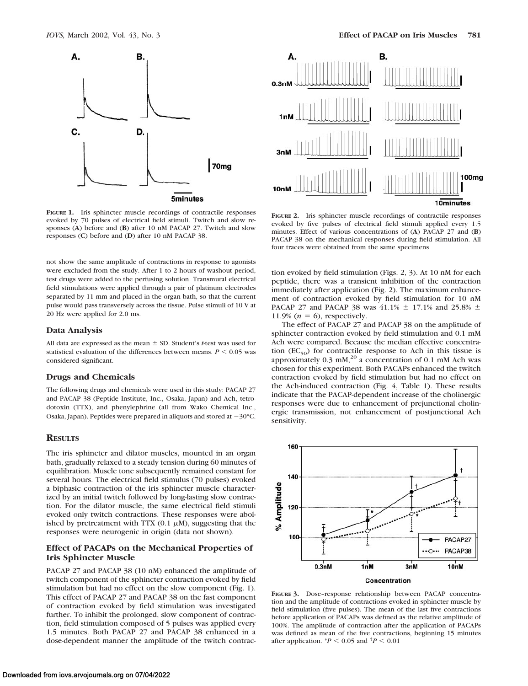

**FIGURE 1.** Iris sphincter muscle recordings of contractile responses evoked by 70 pulses of electrical field stimuli. Twitch and slow responses (**A**) before and (**B**) after 10 nM PACAP 27. Twitch and slow responses (**C**) before and (**D**) after 10 nM PACAP 38.

not show the same amplitude of contractions in response to agonists were excluded from the study. After 1 to 2 hours of washout period, test drugs were added to the perfusing solution. Transmural electrical field stimulations were applied through a pair of platinum electrodes separated by 11 mm and placed in the organ bath, so that the current pulse would pass transversely across the tissue. Pulse stimuli of 10 V at 20 Hz were applied for 2.0 ms.

#### **Data Analysis**

All data are expressed as the mean  $\pm$  SD. Student's *t*-test was used for statistical evaluation of the differences between means.  $P \leq 0.05$  was considered significant.

#### **Drugs and Chemicals**

The following drugs and chemicals were used in this study: PACAP 27 and PACAP 38 (Peptide Institute, Inc., Osaka, Japan) and Ach, tetrodotoxin (TTX), and phenylephrine (all from Wako Chemical Inc., Osaka, Japan). Peptides were prepared in aliquots and stored at  $-30^{\circ}$ C.

#### **RESULTS**

The iris sphincter and dilator muscles, mounted in an organ bath, gradually relaxed to a steady tension during 60 minutes of equilibration. Muscle tone subsequently remained constant for several hours. The electrical field stimulus (70 pulses) evoked a biphasic contraction of the iris sphincter muscle characterized by an initial twitch followed by long-lasting slow contraction. For the dilator muscle, the same electrical field stimuli evoked only twitch contractions. These responses were abolished by pretreatment with TTX  $(0.1 \mu M)$ , suggesting that the responses were neurogenic in origin (data not shown).

## **Effect of PACAPs on the Mechanical Properties of Iris Sphincter Muscle**

PACAP 27 and PACAP 38 (10 nM) enhanced the amplitude of twitch component of the sphincter contraction evoked by field stimulation but had no effect on the slow component (Fig. 1). This effect of PACAP 27 and PACAP 38 on the fast component of contraction evoked by field stimulation was investigated further. To inhibit the prolonged, slow component of contraction, field stimulation composed of 5 pulses was applied every 1.5 minutes. Both PACAP 27 and PACAP 38 enhanced in a dose-dependent manner the amplitude of the twitch contrac-



**FIGURE 2.** Iris sphincter muscle recordings of contractile responses evoked by five pulses of electrical field stimuli applied every 1.5 minutes. Effect of various concentrations of (**A**) PACAP 27 and (**B**) PACAP 38 on the mechanical responses during field stimulation. All four traces were obtained from the same specimens

tion evoked by field stimulation (Figs. 2, 3). At 10 nM for each peptide, there was a transient inhibition of the contraction immediately after application (Fig. 2). The maximum enhancement of contraction evoked by field stimulation for 10 nM PACAP 27 and PACAP 38 was 41.1%  $\pm$  17.1% and 25.8%  $\pm$ 11.9%  $(n = 6)$ , respectively.

The effect of PACAP 27 and PACAP 38 on the amplitude of sphincter contraction evoked by field stimulation and 0.1 mM Ach were compared. Because the median effective concentration  $(EC_{50})$  for contractile response to Ach in this tissue is approximately  $0.3$  mM,<sup>20</sup> a concentration of  $0.1$  mM Ach was chosen for this experiment. Both PACAPs enhanced the twitch contraction evoked by field stimulation but had no effect on the Ach-induced contraction (Fig. 4, Table 1). These results indicate that the PACAP-dependent increase of the cholinergic responses were due to enhancement of prejunctional cholinergic transmission, not enhancement of postjunctional Ach sensitivity.



**FIGURE 3.** Dose–response relationship between PACAP concentration and the amplitude of contractions evoked in sphincter muscle by field stimulation (five pulses). The mean of the last five contractions before application of PACAPs was defined as the relative amplitude of 100%. The amplitude of contraction after the application of PACAPs was defined as mean of the five contractions, beginning 15 minutes after application.  $^{*}P$  < 0.05 and  $^{†}P$  < 0.01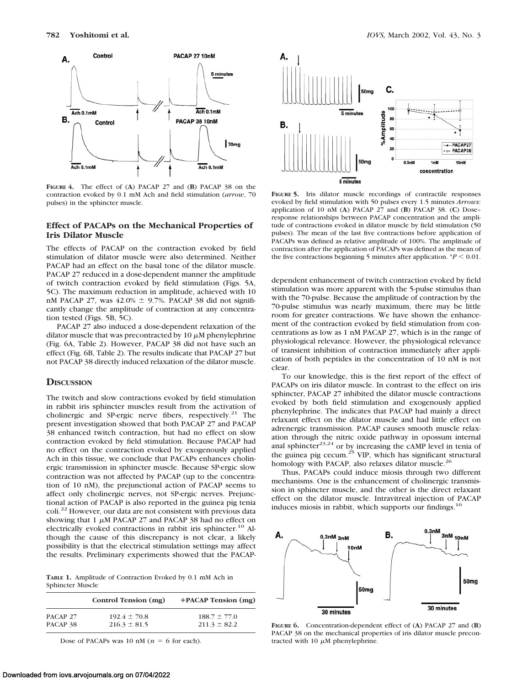

**FIGURE 4.** The effect of (**A**) PACAP 27 and (**B**) PACAP 38 on the contraction evoked by 0.1 mM Ach and field stimulation (*arrow*, 70 pulses) in the sphincter muscle.

## **Effect of PACAPs on the Mechanical Properties of Iris Dilator Muscle**

The effects of PACAP on the contraction evoked by field stimulation of dilator muscle were also determined. Neither PACAP had an effect on the basal tone of the dilator muscle. PACAP 27 reduced in a dose-dependent manner the amplitude of twitch contraction evoked by field stimulation (Figs. 5A, 5C). The maximum reduction in amplitude, achieved with 10 nM PACAP 27, was  $42.0\% \pm 9.7\%$ . PACAP 38 did not significantly change the amplitude of contraction at any concentration tested (Figs. 5B, 5C).

PACAP 27 also induced a dose-dependent relaxation of the dilator muscle that was precontracted by 10  $\mu$ M phenylephrine (Fig. 6A, Table 2). However, PACAP 38 did not have such an effect (Fig. 6B, Table 2). The results indicate that PACAP 27 but not PACAP 38 directly induced relaxation of the dilator muscle.

### **DISCUSSION**

The twitch and slow contractions evoked by field stimulation in rabbit iris sphincter muscles result from the activation of cholinergic and SP-ergic nerve fibers, respectively.21 The present investigation showed that both PACAP 27 and PACAP 38 enhanced twitch contraction, but had no effect on slow contraction evoked by field stimulation. Because PACAP had no effect on the contraction evoked by exogenously applied Ach in this tissue, we conclude that PACAPs enhances cholinergic transmission in sphincter muscle. Because SP-ergic slow contraction was not affected by PACAP (up to the concentration of 10 nM), the prejunctional action of PACAP seems to affect only cholinergic nerves, not SP-ergic nerves. Prejunctional action of PACAP is also reported in the guinea pig tenia coli.<sup>22</sup> However, our data are not consistent with previous data showing that 1  $\mu$ M PACAP 27 and PACAP 38 had no effect on electrically evoked contractions in rabbit iris sphincter.<sup>10</sup> Although the cause of this discrepancy is not clear, a likely possibility is that the electrical stimulation settings may affect the results. Preliminary experiments showed that the PACAP-

**TABLE 1.** Amplitude of Contraction Evoked by 0.1 mM Ach in Sphincter Muscle

|                     | Control Tension (mg) | $+$ PACAP Tension $(mg)$ |
|---------------------|----------------------|--------------------------|
| PACAP 27            | $192.4 \pm 70.8$     | $188.7 \pm 77.0$         |
| PACAP <sub>38</sub> | $216.3 \pm 81.5$     | $211.3 \pm 82.2$         |

Dose of PACAPs was 10 nM ( $n = 6$  for each).



**FIGURE 5.** Iris dilator muscle recordings of contractile responses evoked by field stimulation with 50 pulses every 1.5 minutes *Arrows*: application of 10 nM (**A**) PACAP 27 and (**B**) PACAP 38. (**C**) Dose– response relationships between PACAP concentration and the amplitude of contractions evoked in dilator muscle by field stimulation (50 pulses). The mean of the last five contractions before application of PACAPs was defined as relative amplitude of 100%. The amplitude of contraction after the application of PACAPs was defined as the mean of the five contractions beginning 5 minutes after application.  $P < 0.01$ .

dependent enhancement of twitch contraction evoked by field stimulation was more apparent with the 5-pulse stimulus than with the 70-pulse. Because the amplitude of contraction by the 70-pulse stimulus was nearly maximum, there may be little room for greater contractions. We have shown the enhancement of the contraction evoked by field stimulation from concentrations as low as 1 nM PACAP 27, which is in the range of physiological relevance. However, the physiological relevance of transient inhibition of contraction immediately after application of both peptides in the concentration of 10 nM is not clear.

To our knowledge, this is the first report of the effect of PACAPs on iris dilator muscle. In contrast to the effect on iris sphincter, PACAP 27 inhibited the dilator muscle contractions evoked by both field stimulation and exogenously applied phenylephrine. The indicates that PACAP had mainly a direct relaxant effect on the dilator muscle and had little effect on adrenergic transmission. PACAP causes smooth muscle relaxation through the nitric oxide pathway in opossum internal anal sphincter<sup>23,24</sup> or by increasing the cAMP level in tenia of the guinea pig cecum.<sup>25</sup> VIP, which has significant structural homology with PACAP, also relaxes dilator muscle.<sup>26</sup>

Thus, PACAPs could induce miosis through two different mechanisms. One is the enhancement of cholinergic transmission in sphincter muscle, and the other is the direct relaxant effect on the dilator muscle. Intravitreal injection of PACAP induces miosis in rabbit, which supports our findings.<sup>10</sup>



**FIGURE 6.** Concentration-dependent effect of (**A**) PACAP 27 and (**B**) PACAP 38 on the mechanical properties of iris dilator muscle precontracted with 10  $\mu$ M phenylephrine.